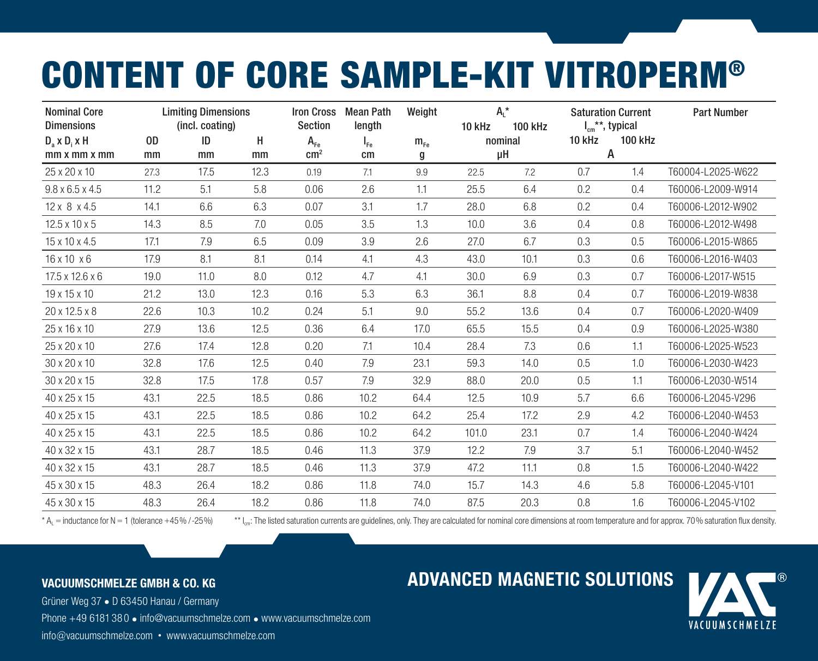## CONTENT OF CORE SAMPLE-KIT VITROPERM®

| <b>Nominal Core</b><br><b>Dimensions</b> |      | <b>Limiting Dimensions</b><br>(incl. coating) |      | <b>Iron Cross</b><br>Section | Mean Path<br>length | Weight   | 10 kHz | $A_L^*$<br>100 kHz |        | <b>Saturation Current</b><br>$I_{cm}$ **, typical | <b>Part Number</b> |
|------------------------------------------|------|-----------------------------------------------|------|------------------------------|---------------------|----------|--------|--------------------|--------|---------------------------------------------------|--------------------|
| $D_a \times D_i \times H$                | 0D   | ID                                            | H    | $A_{Fe}$                     | $I_{Fe}$            | $m_{Fe}$ |        | nominal            | 10 kHz | <b>100 kHz</b>                                    |                    |
| mm x mm x mm                             | mm   | mm                                            | mm   | $\rm cm^2$                   | cm                  | g        |        | μH                 |        | A                                                 |                    |
| 25 x 20 x 10                             | 27.3 | 17.5                                          | 12.3 | 0.19                         | 7.1                 | 9.9      | 22.5   | 7.2                | 0.7    | 1.4                                               | T60004-L2025-W622  |
| $9.8 \times 6.5 \times 4.5$              | 11.2 | 5.1                                           | 5.8  | 0.06                         | 2.6                 | 1.1      | 25.5   | 6.4                | 0.2    | 0.4                                               | T60006-L2009-W914  |
| $12 \times 8 \times 4.5$                 | 14.1 | 6.6                                           | 6.3  | 0.07                         | 3.1                 | 1.7      | 28.0   | 6.8                | 0.2    | 0.4                                               | T60006-L2012-W902  |
| $12.5 \times 10 \times 5$                | 14.3 | 8.5                                           | 7.0  | 0.05                         | 3.5                 | 1.3      | 10.0   | 3.6                | 0.4    | 0.8                                               | T60006-L2012-W498  |
| 15 x 10 x 4.5                            | 17.1 | 7.9                                           | 6.5  | 0.09                         | 3.9                 | 2.6      | 27.0   | 6.7                | 0.3    | 0.5                                               | T60006-L2015-W865  |
| $16 \times 10 \times 6$                  | 17.9 | 8.1                                           | 8.1  | 0.14                         | 4.1                 | 4.3      | 43.0   | 10.1               | 0.3    | 0.6                                               | T60006-L2016-W403  |
| $17.5 \times 12.6 \times 6$              | 19.0 | 11.0                                          | 8.0  | 0.12                         | 4.7                 | 4.1      | 30.0   | 6.9                | 0.3    | 0.7                                               | T60006-L2017-W515  |
| $19 \times 15 \times 10$                 | 21.2 | 13.0                                          | 12.3 | 0.16                         | 5.3                 | 6.3      | 36.1   | 8.8                | 0.4    | 0.7                                               | T60006-L2019-W838  |
| 20 x 12.5 x 8                            | 22.6 | 10.3                                          | 10.2 | 0.24                         | 5.1                 | 9.0      | 55.2   | 13.6               | 0.4    | 0.7                                               | T60006-L2020-W409  |
| 25 x 16 x 10                             | 27.9 | 13.6                                          | 12.5 | 0.36                         | 6.4                 | 17.0     | 65.5   | 15.5               | 0.4    | 0.9                                               | T60006-L2025-W380  |
| 25 x 20 x 10                             | 27.6 | 17.4                                          | 12.8 | 0.20                         | 7.1                 | 10.4     | 28.4   | 7.3                | 0.6    | 1.1                                               | T60006-L2025-W523  |
| 30 x 20 x 10                             | 32.8 | 17.6                                          | 12.5 | 0.40                         | 7.9                 | 23.1     | 59.3   | 14.0               | 0.5    | 1.0                                               | T60006-L2030-W423  |
| 30 x 20 x 15                             | 32.8 | 17.5                                          | 17.8 | 0.57                         | 7.9                 | 32.9     | 88.0   | 20.0               | 0.5    | 1.1                                               | T60006-L2030-W514  |
| 40 x 25 x 15                             | 43.1 | 22.5                                          | 18.5 | 0.86                         | 10.2                | 64.4     | 12.5   | 10.9               | 5.7    | 6.6                                               | T60006-L2045-V296  |
| 40 x 25 x 15                             | 43.1 | 22.5                                          | 18.5 | 0.86                         | 10.2                | 64.2     | 25.4   | 17.2               | 2.9    | 4.2                                               | T60006-L2040-W453  |
| 40 x 25 x 15                             | 43.1 | 22.5                                          | 18.5 | 0.86                         | 10.2                | 64.2     | 101.0  | 23.1               | 0.7    | 1.4                                               | T60006-L2040-W424  |
| 40 x 32 x 15                             | 43.1 | 28.7                                          | 18.5 | 0.46                         | 11.3                | 37.9     | 12.2   | 7.9                | 3.7    | 5.1                                               | T60006-L2040-W452  |
| 40 x 32 x 15                             | 43.1 | 28.7                                          | 18.5 | 0.46                         | 11.3                | 37.9     | 47.2   | 11.1               | 0.8    | 1.5                                               | T60006-L2040-W422  |
| 45 x 30 x 15                             | 48.3 | 26.4                                          | 18.2 | 0.86                         | 11.8                | 74.0     | 15.7   | 14.3               | 4.6    | 5.8                                               | T60006-L2045-V101  |
| 45 x 30 x 15                             | 48.3 | 26.4                                          | 18.2 | 0.86                         | 11.8                | 74.0     | 87.5   | 20.3               | 0.8    | 1.6                                               | T60006-L2045-V102  |

\* A<sub>1</sub> = inductance for N = 1 (tolerance +45%/-25%) \*\* l<sub>cm</sub>: The listed saturation currents are guidelines, only. They are calculated for nominal core dimensions at room temperature and for approx. 70% saturation flux den

## VACUUMSCHMELZE GMBH & CO. KG

Grüner Weg 37 • D 63450 Hanau / GermanyPhone +49 6181 38 0 • info@vacuumschmelze.com • www.vacuumschmelze.cominfo@vacuumschmelze.com • www.vacuumschmelze.com